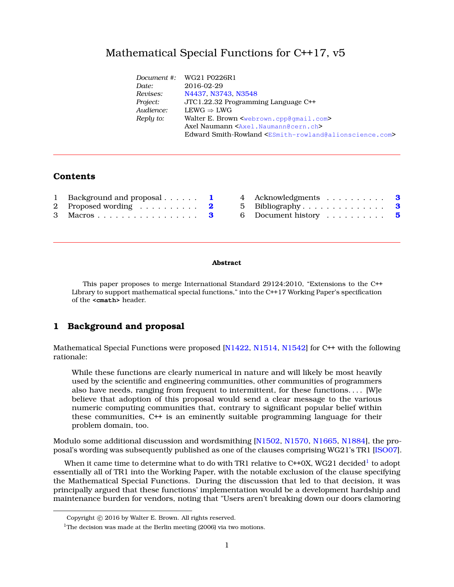## Mathematical Special Functions for C++17, v5

|           | Document #: WG21 P0226R1                                                                 |
|-----------|------------------------------------------------------------------------------------------|
| Date:     | 2016-02-29                                                                               |
| Revises:  | N4437, N3743, N3548                                                                      |
| Project:  | JTC1.22.32 Programming Language C++                                                      |
| Audience: | $LEWG \Rightarrow LWG$                                                                   |
| Reply to: | Walter E. Brown <webrown.cpp@gmail.com></webrown.cpp@gmail.com>                          |
|           | Axel Naumann <axel. naumann@cern.ch=""></axel.>                                          |
|           | Edward Smith-Rowland <esmith-rowland@alionscience.com></esmith-rowland@alionscience.com> |
|           |                                                                                          |

## **Contents**

| 1 Background and proposal 1 4 Acknowledgments 3 |  |  |
|-------------------------------------------------|--|--|
| 2 Proposed wording  2 5 Bibliography 3          |  |  |
| 3 Macros 3 6 Document history 5                 |  |  |

#### **Abstract**

This paper proposes to merge International Standard 29124:2010, "Extensions to the C++ Library to support mathematical special functions," into the C++17 Working Paper's specification of the **<cmath>** header.

### <span id="page-0-0"></span>**1 Background and proposal**

Mathematical Special Functions were proposed [\[N1422,](#page-3-0) [N1514,](#page-3-1) [N1542\]](#page-3-2) for C++ with the following rationale:

While these functions are clearly numerical in nature and will likely be most heavily used by the scientific and engineering communities, other communities of programmers also have needs, ranging from frequent to intermittent, for these functions. . . . [W]e believe that adoption of this proposal would send a clear message to the various numeric computing communities that, contrary to significant popular belief within these communities, C++ is an eminently suitable programming language for their problem domain, too.

Modulo some additional discussion and wordsmithing [\[N1502,](#page-3-3) [N1570,](#page-3-4) [N1665,](#page-3-5) [N1884\]](#page-3-6), the proposal's wording was subsequently published as one of the clauses comprising WG21's TR1 [\[ISO07\]](#page-2-3).

When it came time to determine what to do with TR[1](#page-0-1) relative to C++0X, WG21 decided $^{\rm l}$  to adopt essentially all of TR1 into the Working Paper, with the notable exclusion of the clause specifying the Mathematical Special Functions. During the discussion that led to that decision, it was principally argued that these functions' implementation would be a development hardship and maintenance burden for vendors, noting that "Users aren't breaking down our doors clamoring

Copyright © 2016 by Walter E. Brown. All rights reserved.

<span id="page-0-1"></span><sup>&</sup>lt;sup>1</sup>The decision was made at the Berlin meeting  $(2006)$  via two motions.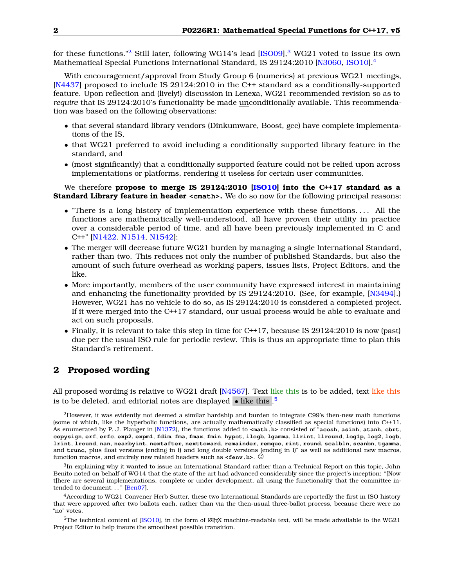for these functions."<sup>[2](#page-1-1)</sup> Still later, following WG14's lead [\[ISO09\]](#page-2-4),<sup>[3](#page-1-2)</sup> WG21 voted to issue its own Mathematical Special Functions International Standard, IS 29124:2010 [\[N3060,](#page-3-7) [ISO10\]](#page-3-8).[4](#page-1-3)

With encouragement/approval from Study Group 6 (numerics) at previous WG21 meetings, [\[N4437\]](#page-3-9) proposed to include IS 29124:2010 in the C++ standard as a conditionally-supported feature. Upon reflection and (lively!) discussion in Lenexa, WG21 recommended revision so as to *require* that IS 29124:2010's functionality be made unconditionally available. This recommendation was based on the following observations:

- that several standard library vendors (Dinkumware, Boost, gcc) have complete implementations of the IS,
- that WG21 preferred to avoid including a conditionally supported library feature in the standard, and
- (most significantly) that a conditionally supported feature could not be relied upon across implementations or platforms, rendering it useless for certain user communities.

We therefore **propose to merge IS 29124:2010 [\[ISO10\]](#page-3-8) into the C++17 standard as a Standard Library feature in header** <cmath>. We do so now for the following principal reasons:

- "There is a long history of implementation experience with these functions. . . . All the functions are mathematically well-understood, all have proven their utility in practice over a considerable period of time, and all have been previously implemented in C and C++" [\[N1422,](#page-3-0) [N1514,](#page-3-1) [N1542\]](#page-3-2);
- The merger will decrease future WG21 burden by managing a single International Standard, rather than two. This reduces not only the number of published Standards, but also the amount of such future overhead as working papers, issues lists, Project Editors, and the like.
- More importantly, members of the user community have expressed interest in maintaining and enhancing the functionality provided by IS 29124:2010. (See, for example, [\[N3494\]](#page-3-10).) However, WG21 has no vehicle to do so, as IS 29124:2010 is considered a completed project. If it were merged into the C++17 standard, our usual process would be able to evaluate and act on such proposals.
- Finally, it is relevant to take this step in time for C++17, because IS 29124:2010 is now (past) due per the usual ISO rule for periodic review. This is thus an appropriate time to plan this Standard's retirement.

### <span id="page-1-0"></span>**2 Proposed wording**

All proposed wording is relative to WG21 draft [\[N4567\]](#page-3-11). Text like this is to be added, text like this is to be deleted, and editorial notes are displayed  $\,$   $\,$  like this . $^5$  $^5$ 

<span id="page-1-1"></span><sup>2</sup>However, it was evidently not deemed a similar hardship and burden to integrate C99's then-new math functions (some of which, like the hyperbolic functions, are actually mathematically classified as special functions) into C++11. As enumerated by P. J. Plauger in [\[N1372\]](#page-3-12), the functions added to **<math.h>** consisted of "**acosh**, **asinh**, **atanh**, **cbrt**, copysign, erf, erfc, exp2, expm1, fdim, fma, fmax, fmin, hypot, ilogb, lgamma, llrint, llround, log1p, log2, logb, **lrint**, **lround**, **nan**, **nearbyint**, **nextafter**, **nexttoward**, **remainder**, **remquo**, **rint**, **round**, **scalbln**, **scanbn**, **tgamma**, and **trunc**, plus float versions (ending in f) and long double versions (ending in l)" as well as additional new macros, function macros, and entirely new related headers such as  $\le$  **fenv.h>.**  $\odot$ 

<span id="page-1-2"></span><sup>3</sup> In explaining why it wanted to issue an International Standard rather than a Technical Report on this topic, John Benito noted on behalf of WG14 that the state of the art had advanced considerably since the project's inception: "[Now t]here are several implementations, complete or under development, all using the functionality that the committee intended to document. . . " [\[Ben07\]](#page-2-5).

<span id="page-1-3"></span><sup>4</sup>According to WG21 Convener Herb Sutter, these two International Standards are reportedly the first in ISO history that were approved after two ballots each, rather than via the then-usual three-ballot process, because there were no "no" votes.

<span id="page-1-4"></span><sup>&</sup>lt;sup>5</sup>The technical content of [\[ISO10\]](#page-3-8), in the form of  $\mathbb{E}$ F<sub>E</sub>X machine-readable text, will be made advailable to the WG21 Project Editor to help insure the smoothest possible transition.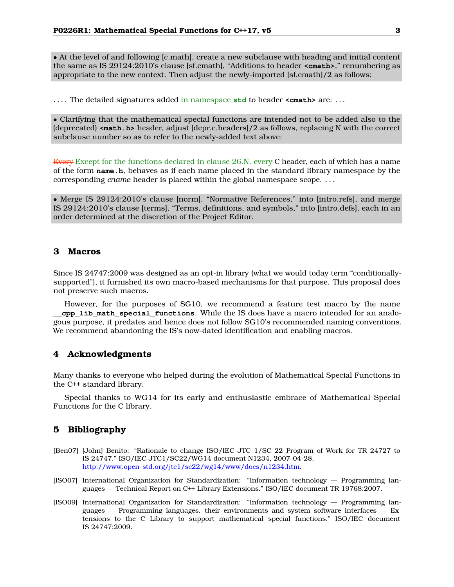• At the level of and following [c.math], create a new subclause with heading and initial content the same as IS 29124:2010's clause [sf.cmath], "Additions to header **<cmath>**," renumbering as appropriate to the new context. Then adjust the newly-imported [sf.cmath]/2 as follows:

. . . . The detailed signatures added in namespace **std** to header **<cmath>** are: . . .

• Clarifying that the mathematical special functions are intended not to be added also to the (deprecated) **<math.h>** header, adjust [depr.c.headers]/2 as follows, replacing N with the correct subclause number so as to refer to the newly-added text above:

Every Except for the functions declared in clause 26.N, every C header, each of which has a name of the form **name.h**, behaves as if each name placed in the standard library namespace by the corresponding *cname* header is placed within the global namespace scope. . . .

• Merge IS 29124:2010's clause [norm], "Normative References," into [intro.refs], and merge IS 29124:2010's clause [terms], "Terms, definitions, and symbols," into [intro.defs], each in an order determined at the discretion of the Project Editor.

#### <span id="page-2-0"></span>**3 Macros**

Since IS 24747:2009 was designed as an opt-in library (what we would today term "conditionallysupported"), it furnished its own macro-based mechanisms for that purpose. This proposal does not preserve such macros.

However, for the purposes of SG10, we recommend a feature test macro by the name **\_\_cpp\_lib\_math\_special\_functions**. While the IS does have a macro intended for an analogous purpose, it predates and hence does not follow SG10's recommended naming conventions. We recommend abandoning the IS's now-dated identification and enabling macros.

### <span id="page-2-1"></span>**4 Acknowledgments**

Many thanks to everyone who helped during the evolution of Mathematical Special Functions in the C++ standard library.

Special thanks to WG14 for its early and enthusiastic embrace of Mathematical Special Functions for the C library.

#### <span id="page-2-2"></span>**5 Bibliography**

- <span id="page-2-5"></span>[Ben07] [John] Benito: "Rationale to change ISO/IEC JTC 1/SC 22 Program of Work for TR 24727 to IS 24747." ISO/IEC JTC1/SC22/WG14 document N1234, 2007-04-28. [http://www.open-std.org/jtc1/sc22/wg14/www/docs/n1234.htm.](http://www.open-std.org/jtc1/sc22/wg14/www/docs/n1234.htm)
- <span id="page-2-3"></span>[ISO07] International Organization for Standardization: "Information technology — Programming languages — Technical Report on C++ Library Extensions." ISO/IEC document TR 19768:2007.
- <span id="page-2-4"></span>[ISO09] International Organization for Standardization: "Information technology — Programming languages  $-$  Programming languages, their environments and system software interfaces  $-$  Extensions to the C Library to support mathematical special functions." ISO/IEC document IS 24747:2009.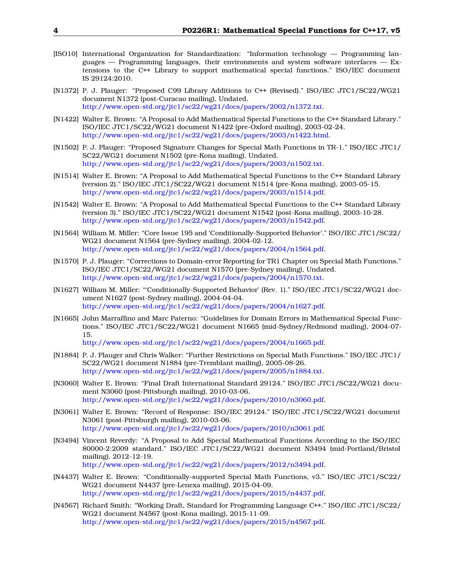- <span id="page-3-8"></span>[ISO10] International Organization for Standardization: "Information technology — Programming languages  $-$  Programming languages, their environments and system software interfaces  $-$  Extensions to the C++ Library to support mathematical special functions." ISO/IEC document IS 29124:2010.
- <span id="page-3-12"></span>[N1372] P. J. Plauger: "Proposed C99 Library Additions to C++ (Revised)." ISO/IEC JTC1/SC22/WG21 document N1372 (post-Curacao mailing), Undated. [http://www.open-std.org/jtc1/sc22/wg21/docs/papers/2002/n1372.txt.](http://www.open-std.org/jtc1/sc22/wg21/docs/papers/2002/n1372.txt)
- <span id="page-3-0"></span>[N1422] Walter E. Brown: "A Proposal to Add Mathematical Special Functions to the C++ Standard Library." ISO/IEC JTC1/SC22/WG21 document N1422 (pre-Oxford mailing), 2003-02-24. [http://www.open-std.org/jtc1/sc22/wg21/docs/papers/2003/n1422.html.](http://www.open-std.org/jtc1/sc22/wg21/docs/papers/2003/n1422.html)
- <span id="page-3-3"></span>[N1502] P. J. Plauger: "Proposed Signature Changes for Special Math Functions in TR-1." ISO/IEC JTC1/ SC22/WG21 document N1502 (pre-Kona mailing), Undated. [http://www.open-std.org/jtc1/sc22/wg21/docs/papers/2003/n1502.txt.](http://www.open-std.org/jtc1/sc22/wg21/docs/papers/2003/n1502.txt)
- <span id="page-3-1"></span>[N1514] Walter E. Brown: "A Proposal to Add Mathematical Special Functions to the C++ Standard Library (version 2)." ISO/IEC JTC1/SC22/WG21 document N1514 (pre-Kona mailing), 2003-05-15. [http://www.open-std.org/jtc1/sc22/wg21/docs/papers/2003/n1514.pdf.](http://www.open-std.org/jtc1/sc22/wg21/docs/papers/2003/n1514.pdf)
- <span id="page-3-2"></span>[N1542] Walter E. Brown: "A Proposal to Add Mathematical Special Functions to the C++ Standard Library (version 3)." ISO/IEC JTC1/SC22/WG21 document N1542 (post-Kona mailing), 2003-10-28. [http://www.open-std.org/jtc1/sc22/wg21/docs/papers/2003/n1542.pdf.](http://www.open-std.org/jtc1/sc22/wg21/docs/papers/2003/n1542.pdf)
- [N1564] William M. Miller: "Core Issue 195 and 'Conditionally-Supported Behavior'." ISO/IEC JTC1/SC22/ WG21 document N1564 (pre-Sydney mailing), 2004-02-12. [http://www.open-std.org/jtc1/sc22/wg21/docs/papers/2004/n1564.pdf.](http://www.open-std.org/jtc1/sc22/wg21/docs/papers/2004/n1564.pdf)
- <span id="page-3-4"></span>[N1570] P. J. Plauger: "Corrections to Domain-error Reporting for TR1 Chapter on Special Math Functions." ISO/IEC JTC1/SC22/WG21 document N1570 (pre-Sydney mailing), Undated. [http://www.open-std.org/jtc1/sc22/wg21/docs/papers/2004/n1570.txt.](http://www.open-std.org/jtc1/sc22/wg21/docs/papers/2004/n1570.txt)
- [N1627] William M. Miller: "'Conditionally-Supported Behavior' (Rev. 1)." ISO/IEC JTC1/SC22/WG21 document N1627 (post-Sydney mailing), 2004-04-04. [http://www.open-std.org/jtc1/sc22/wg21/docs/papers/2004/n1627.pdf.](http://www.open-std.org/jtc1/sc22/wg21/docs/papers/2004/n1627.pdf)
- <span id="page-3-5"></span>[N1665] John Marraffino and Marc Paterno: "Guidelines for Domain Errors in Mathematical Special Functions." ISO/IEC JTC1/SC22/WG21 document N1665 (mid-Sydney/Redmond mailing), 2004-07- 15.

[http://www.open-std.org/jtc1/sc22/wg21/docs/papers/2004/n1665.pdf.](http://www.open-std.org/jtc1/sc22/wg21/docs/papers/2004/n1665.pdf)

- <span id="page-3-6"></span>[N1884] P. J. Plauger and Chris Walker: "Further Restrictions on Special Math Functions." ISO/IEC JTC1/ SC22/WG21 document N1884 (pre-Tremblant mailing), 2005-08-26. [http://www.open-std.org/jtc1/sc22/wg21/docs/papers/2005/n1884.txt.](http://www.open-std.org/jtc1/sc22/wg21/docs/papers/2005/n1884.txt)
- <span id="page-3-7"></span>[N3060] Walter E. Brown: "Final Draft International Standard 29124." ISO/IEC JTC1/SC22/WG21 document N3060 (post-Pittsburgh mailing), 2010-03-06. [http://www.open-std.org/jtc1/sc22/wg21/docs/papers/2010/n3060.pdf.](http://www.open-std.org/jtc1/sc22/wg21/docs/papers/2010/n3060.pdf)
- [N3061] Walter E. Brown: "Record of Response: ISO/IEC 29124." ISO/IEC JTC1/SC22/WG21 document N3061 (post-Pittsburgh mailing), 2010-03-06. [http://www.open-std.org/jtc1/sc22/wg21/docs/papers/2010/n3061.pdf.](http://www.open-std.org/jtc1/sc22/wg21/docs/papers/2010/n3061.pdf)
- <span id="page-3-10"></span>[N3494] Vincent Reverdy: "A Proposal to Add Special Mathematical Functions According to the ISO/IEC 80000-2:2009 standard." ISO/IEC JTC1/SC22/WG21 document N3494 (mid-Portland/Bristol mailing), 2012-12-19. [http://www.open-std.org/jtc1/sc22/wg21/docs/papers/2012/n3494.pdf.](http://www.open-std.org/jtc1/sc22/wg21/docs/papers/2012/n3494.pdf)
- <span id="page-3-9"></span>[N4437] Walter E. Brown: "Conditionally-supported Special Math Functions, v3." ISO/IEC JTC1/SC22/ WG21 document N4437 (pre-Lenexa mailing), 2015-04-09. [http://www.open-std.org/jtc1/sc22/wg21/docs/papers/2015/n4437.pdf.](http://www.open-std.org/jtc1/sc22/wg21/docs/papers/2015/n4437.pdf)
- <span id="page-3-11"></span>[N4567] Richard Smith: "Working Draft, Standard for Programming Language C++." ISO/IEC JTC1/SC22/ WG21 document N4567 (post-Kona mailing), 2015-11-09. [http://www.open-std.org/jtc1/sc22/wg21/docs/papers/2015/n4567.pdf.](http://www.open-std.org/jtc1/sc22/wg21/docs/papers/2015/n4567.pdf)